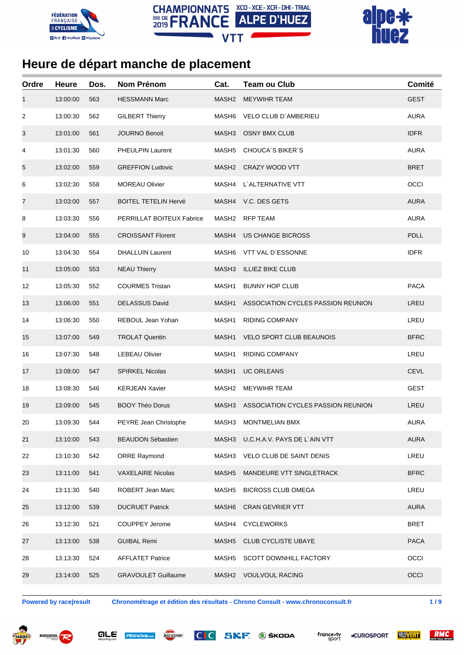





| Ordre | <b>Heure</b> | Dos. | <b>Nom Prénom</b>           | Cat.              | <b>Team ou Club</b>                | Comité      |
|-------|--------------|------|-----------------------------|-------------------|------------------------------------|-------------|
| 1     | 13:00:00     | 563  | <b>HESSMANN Marc</b>        | MASH2             | <b>MEYWIHR TEAM</b>                | <b>GEST</b> |
| 2     | 13:00:30     | 562  | <b>GILBERT Thierry</b>      | MASH6             | VELO CLUB D'AMBERIEU               | <b>AURA</b> |
| 3     | 13:01:00     | 561  | <b>JOURNO Benoit</b>        | MASH <sub>3</sub> | <b>OSNY BMX CLUB</b>               | <b>IDFR</b> |
| 4     | 13:01:30     | 560  | <b>PHEULPIN Laurent</b>     | MASH <sub>5</sub> | <b>CHOUCA'S BIKER'S</b>            | <b>AURA</b> |
| 5     | 13:02:00     | 559  | <b>GREFFION Ludovic</b>     |                   | MASH2 CRAZY WOOD VTT               | <b>BRET</b> |
| 6     | 13:02:30     | 558  | <b>MOREAU Olivier</b>       | MASH4             | L`ALTERNATIVE VTT                  | OCCI        |
| 7     | 13:03:00     | 557  | <b>BOITEL TETELIN Hervé</b> |                   | MASH4 V.C. DES GETS                | <b>AURA</b> |
| 8     | 13:03:30     | 556  | PERRILLAT BOITEUX Fabrice   | MASH <sub>2</sub> | <b>RFP TEAM</b>                    | <b>AURA</b> |
| 9     | 13:04:00     | 555  | <b>CROISSANT Florent</b>    | MASH4             | <b>US CHANGE BICROSS</b>           | <b>PDLL</b> |
| 10    | 13:04:30     | 554  | <b>DHALLUIN Laurent</b>     | MASH <sub>6</sub> | VTT VAL D'ESSONNE                  | <b>IDFR</b> |
| 11    | 13:05:00     | 553  | <b>NEAU Thierry</b>         | MASH3             | <b>ILLIEZ BIKE CLUB</b>            |             |
| 12    | 13:05:30     | 552  | <b>COURMES Tristan</b>      | MASH1             | <b>BUNNY HOP CLUB</b>              | <b>PACA</b> |
| 13    | 13:06:00     | 551  | <b>DELASSUS David</b>       | MASH1             | ASSOCIATION CYCLES PASSION REUNION | LREU        |
| 14    | 13:06:30     | 550  | REBOUL Jean Yohan           | MASH1             | <b>RIDING COMPANY</b>              | LREU        |
| 15    | 13:07:00     | 549  | <b>TROLAT Quentin</b>       | MASH1             | <b>VELO SPORT CLUB BEAUNOIS</b>    | <b>BFRC</b> |
| 16    | 13:07:30     | 548  | <b>LEBEAU Olivier</b>       | MASH1             | <b>RIDING COMPANY</b>              | LREU        |
| 17    | 13:08:00     | 547  | <b>SPIRKEL Nicolas</b>      | MASH1             | <b>UC ORLEANS</b>                  | <b>CEVL</b> |
| 18    | 13:08:30     | 546  | <b>KERJEAN Xavier</b>       | MASH <sub>2</sub> | <b>MEYWIHR TEAM</b>                | <b>GEST</b> |
| 19    | 13:09:00     | 545  | <b>BOOY Théo Dorus</b>      | MASH3             | ASSOCIATION CYCLES PASSION REUNION | LREU        |
| 20    | 13:09:30     | 544  | PEYRE Jean Christophe       | MASH3             | <b>MONTMELIAN BMX</b>              | <b>AURA</b> |
| 21    | 13:10:00     | 543  | <b>BEAUDON Sébastien</b>    | MASH3             | U.C.H.A.V. PAYS DE L`AIN VTT       | <b>AURA</b> |
| 22    | 13:10:30     | 542  | <b>ORRE Raymond</b>         | MASH3             | VELO CLUB DE SAINT DENIS           | LREU        |
| 23    | 13:11:00     | 541  | <b>VAXELAIRE Nicolas</b>    | MASH <sub>5</sub> | MANDEURE VTT SINGLETRACK           | <b>BFRC</b> |
| 24    | 13:11:30     | 540  | ROBERT Jean Marc            | MASH <sub>5</sub> | <b>BICROSS CLUB OMEGA</b>          | LREU        |
| 25    | 13:12:00     | 539  | <b>DUCRUET Patrick</b>      | MASH <sub>6</sub> | <b>CRAN GEVRIER VTT</b>            | <b>AURA</b> |
| 26    | 13:12:30     | 521  | <b>COUPPEY Jerome</b>       | MASH4             | <b>CYCLEWORKS</b>                  | <b>BRET</b> |
| 27    | 13:13:00     | 538  | <b>GUIBAL Remi</b>          | MASH <sub>5</sub> | <b>CLUB CYCLISTE UBAYE</b>         | <b>PACA</b> |
| 28    | 13:13:30     | 524  | <b>AFFLATET Patrice</b>     | MASH <sub>5</sub> | SCOTT DOWNHILL FACTORY             | OCCI        |
| 29    | 13:14:00     | 525  | <b>GRAVOULET Guillaume</b>  | MASH2             | <b>VOULVOUL RACING</b>             | OCCI        |
|       |              |      |                             |                   |                                    |             |

**Powered by race|result Chronométrage et édition des résultats - Chrono Consult - www.chronoconsult.fr 1 / 9**









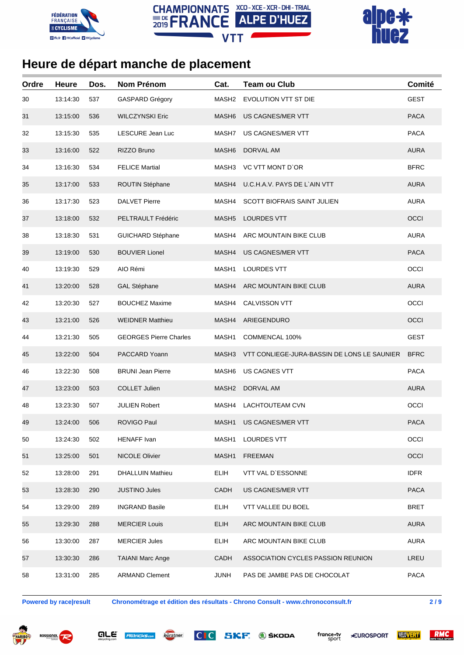





| Ordre | Heure    | Dos. | <b>Nom Prénom</b>             | Cat.              | <b>Team ou Club</b>                         | Comité      |
|-------|----------|------|-------------------------------|-------------------|---------------------------------------------|-------------|
| 30    | 13:14:30 | 537  | <b>GASPARD Grégory</b>        | MASH2             | EVOLUTION VTT ST DIE                        | <b>GEST</b> |
| 31    | 13:15:00 | 536  | <b>WILCZYNSKI Eric</b>        | MASH <sub>6</sub> | <b>US CAGNES/MER VTT</b>                    | <b>PACA</b> |
| 32    | 13:15:30 | 535  | LESCURE Jean Luc              | MASH7             | US CAGNES/MER VTT                           | <b>PACA</b> |
| 33    | 13:16:00 | 522  | RIZZO Bruno                   | MASH <sub>6</sub> | DORVAL AM                                   | <b>AURA</b> |
| 34    | 13:16:30 | 534  | <b>FELICE Martial</b>         | MASH3             | VC VTT MONT D'OR                            | <b>BFRC</b> |
| 35    | 13:17:00 | 533  | ROUTIN Stéphane               | MASH4             | U.C.H.A.V. PAYS DE L`AIN VTT                | <b>AURA</b> |
| 36    | 13:17:30 | 523  | <b>DALVET Pierre</b>          | MASH4             | <b>SCOTT BIOFRAIS SAINT JULIEN</b>          | <b>AURA</b> |
| 37    | 13:18:00 | 532  | PELTRAULT Frédéric            | MASH <sub>5</sub> | <b>LOURDES VTT</b>                          | OCCI        |
| 38    | 13:18:30 | 531  | <b>GUICHARD Stéphane</b>      | MASH4             | ARC MOUNTAIN BIKE CLUB                      | <b>AURA</b> |
| 39    | 13:19:00 | 530  | <b>BOUVIER Lionel</b>         | MASH4             | US CAGNES/MER VTT                           | <b>PACA</b> |
| 40    | 13:19:30 | 529  | AIO Rémi                      | MASH1             | <b>LOURDES VTT</b>                          | OCCI        |
| 41    | 13:20:00 | 528  | <b>GAL Stéphane</b>           | MASH4             | ARC MOUNTAIN BIKE CLUB                      | <b>AURA</b> |
| 42    | 13:20:30 | 527  | <b>BOUCHEZ Maxime</b>         | MASH4             | <b>CALVISSON VTT</b>                        | OCCI        |
| 43    | 13:21:00 | 526  | <b>WEIDNER Matthieu</b>       | MASH4             | ARIEGENDURO                                 | OCCI        |
| 44    | 13:21:30 | 505  | <b>GEORGES Pierre Charles</b> | MASH1             | COMMENCAL 100%                              | <b>GEST</b> |
| 45    | 13:22:00 | 504  | PACCARD Yoann                 | MASH3             | VTT CONLIEGE-JURA-BASSIN DE LONS LE SAUNIER | <b>BFRC</b> |
| 46    | 13:22:30 | 508  | <b>BRUNI Jean Pierre</b>      | MASH <sub>6</sub> | US CAGNES VTT                               | <b>PACA</b> |
| 47    | 13:23:00 | 503  | <b>COLLET Julien</b>          | MASH <sub>2</sub> | DORVAL AM                                   | <b>AURA</b> |
| 48    | 13:23:30 | 507  | <b>JULIEN Robert</b>          | MASH4             | LACHTOUTEAM CVN                             | OCCI        |
| 49    | 13:24:00 | 506  | ROVIGO Paul                   | MASH1             | US CAGNES/MER VTT                           | <b>PACA</b> |
| 50    | 13:24:30 | 502  | <b>HENAFF Ivan</b>            | MASH1             | LOURDES VTT                                 | OCCI        |
| 51    | 13:25:00 | 501  | NICOLE Olivier                | MASH1             | <b>FREEMAN</b>                              | OCCI        |
| 52    | 13:28:00 | 291  | <b>DHALLUIN Mathieu</b>       | <b>ELIH</b>       | VTT VAL D'ESSONNE                           | <b>IDFR</b> |
| 53    | 13:28:30 | 290  | <b>JUSTINO Jules</b>          | CADH              | US CAGNES/MER VTT                           | <b>PACA</b> |
| 54    | 13:29:00 | 289  | <b>INGRAND Basile</b>         | <b>ELIH</b>       | VTT VALLEE DU BOEL                          | <b>BRET</b> |
| 55    | 13:29:30 | 288  | <b>MERCIER Louis</b>          | <b>ELIH</b>       | ARC MOUNTAIN BIKE CLUB                      | <b>AURA</b> |
| 56    | 13:30:00 | 287  | <b>MERCIER Jules</b>          | <b>ELIH</b>       | ARC MOUNTAIN BIKE CLUB                      | <b>AURA</b> |
| 57    | 13:30:30 | 286  | <b>TAIANI Marc Ange</b>       | CADH              | ASSOCIATION CYCLES PASSION REUNION          | LREU        |
| 58    | 13:31:00 | 285  | <b>ARMAND Clement</b>         | <b>JUNH</b>       | PAS DE JAMBE PAS DE CHOCOLAT                | PACA        |

**Powered by race|result Chronométrage et édition des résultats - Chrono Consult - www.chronoconsult.fr 2 / 9**







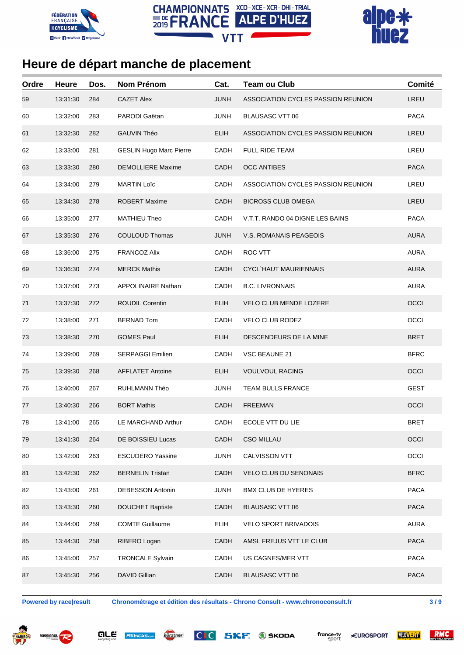





| Ordre | <b>Heure</b> | Dos. | <b>Nom Prénom</b>              | Cat.        | <b>Team ou Club</b>                | Comité      |
|-------|--------------|------|--------------------------------|-------------|------------------------------------|-------------|
| 59    | 13:31:30     | 284  | <b>CAZET Alex</b>              | <b>JUNH</b> | ASSOCIATION CYCLES PASSION REUNION | LREU        |
| 60    | 13:32:00     | 283  | PARODI Gaëtan                  | <b>JUNH</b> | <b>BLAUSASC VTT 06</b>             | <b>PACA</b> |
| 61    | 13:32:30     | 282  | <b>GAUVIN Théo</b>             | <b>ELIH</b> | ASSOCIATION CYCLES PASSION REUNION | LREU        |
| 62    | 13:33:00     | 281  | <b>GESLIN Hugo Marc Pierre</b> | CADH        | <b>FULL RIDE TEAM</b>              | LREU        |
| 63    | 13:33:30     | 280  | <b>DEMOLLIERE Maxime</b>       | CADH        | <b>OCC ANTIBES</b>                 | <b>PACA</b> |
| 64    | 13:34:00     | 279  | <b>MARTIN Loïc</b>             | CADH        | ASSOCIATION CYCLES PASSION REUNION | LREU        |
| 65    | 13:34:30     | 278  | <b>ROBERT Maxime</b>           | CADH        | <b>BICROSS CLUB OMEGA</b>          | LREU        |
| 66    | 13:35:00     | 277  | <b>MATHIEU Theo</b>            | CADH        | V.T.T. RANDO 04 DIGNE LES BAINS    | <b>PACA</b> |
| 67    | 13:35:30     | 276  | <b>COULOUD Thomas</b>          | <b>JUNH</b> | V.S. ROMANAIS PEAGEOIS             | <b>AURA</b> |
| 68    | 13:36:00     | 275  | <b>FRANCOZ Alix</b>            | CADH        | <b>ROC VTT</b>                     | <b>AURA</b> |
| 69    | 13:36:30     | 274  | <b>MERCK Mathis</b>            | CADH        | <b>CYCL HAUT MAURIENNAIS</b>       | <b>AURA</b> |
| 70    | 13:37:00     | 273  | <b>APPOLINAIRE Nathan</b>      | CADH        | <b>B.C. LIVRONNAIS</b>             | <b>AURA</b> |
| 71    | 13:37:30     | 272  | <b>ROUDIL Corentin</b>         | <b>ELIH</b> | VELO CLUB MENDE LOZERE             | OCCI        |
| 72    | 13:38:00     | 271  | <b>BERNAD Tom</b>              | CADH        | <b>VELO CLUB RODEZ</b>             | OCCI        |
| 73    | 13:38:30     | 270  | <b>GOMES Paul</b>              | <b>ELIH</b> | DESCENDEURS DE LA MINE             | <b>BRET</b> |
| 74    | 13:39:00     | 269  | <b>SERPAGGI Emilien</b>        | CADH        | VSC BEAUNE 21                      | <b>BFRC</b> |
| 75    | 13:39:30     | 268  | <b>AFFLATET Antoine</b>        | <b>ELIH</b> | <b>VOULVOUL RACING</b>             | OCCI        |
| 76    | 13:40:00     | 267  | <b>RUHLMANN Théo</b>           | JUNH        | <b>TEAM BULLS FRANCE</b>           | <b>GEST</b> |
| 77    | 13:40:30     | 266  | <b>BORT Mathis</b>             | <b>CADH</b> | <b>FREEMAN</b>                     | OCCI        |
| 78    | 13:41:00     | 265  | LE MARCHAND Arthur             | CADH        | ECOLE VTT DU LIE                   | <b>BRET</b> |
| 79    | 13:41:30     | 264  | DE BOISSIEU Lucas              | CADH        | <b>CSO MILLAU</b>                  | OCCI        |
| 80    | 13:42:00     | 263  | <b>ESCUDERO Yassine</b>        | <b>JUNH</b> | CALVISSON VTT                      | OCCI        |
| 81    | 13:42:30     | 262  | <b>BERNELIN Tristan</b>        | <b>CADH</b> | <b>VELO CLUB DU SENONAIS</b>       | <b>BFRC</b> |
| 82    | 13:43:00     | 261  | <b>DEBESSON Antonin</b>        | <b>JUNH</b> | <b>BMX CLUB DE HYERES</b>          | <b>PACA</b> |
| 83    | 13:43:30     | 260  | <b>DOUCHET Baptiste</b>        | CADH        | <b>BLAUSASC VTT 06</b>             | <b>PACA</b> |
| 84    | 13:44:00     | 259  | <b>COMTE Guillaume</b>         | <b>ELIH</b> | <b>VELO SPORT BRIVADOIS</b>        | <b>AURA</b> |
| 85    | 13:44:30     | 258  | RIBERO Logan                   | CADH        | AMSL FREJUS VTT LE CLUB            | <b>PACA</b> |
| 86    | 13:45:00     | 257  | <b>TRONCALE Sylvain</b>        | CADH        | US CAGNES/MER VTT                  | <b>PACA</b> |
| 87    | 13:45:30     | 256  | <b>DAVID Gillian</b>           | CADH        | <b>BLAUSASC VTT 06</b>             | <b>PACA</b> |

**Powered by race|result Chronométrage et édition des résultats - Chrono Consult - www.chronoconsult.fr 3 / 9**







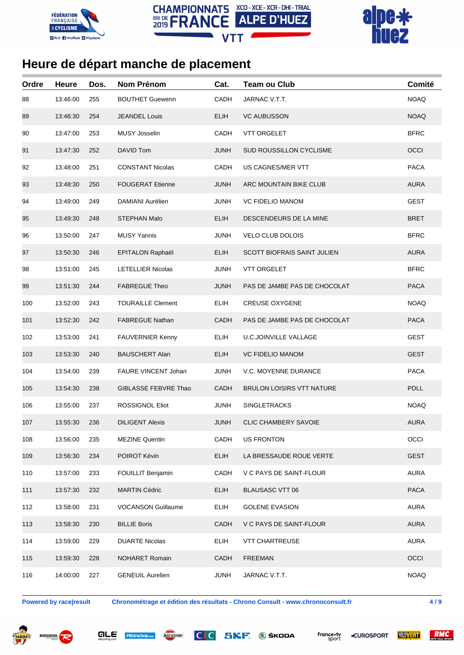





| Ordre | <b>Heure</b> | Dos. | <b>Nom Prénom</b>          | Cat.        | <b>Team ou Club</b>                | Comité      |
|-------|--------------|------|----------------------------|-------------|------------------------------------|-------------|
| 88    | 13:46:00     | 255  | <b>BOUTHET Guewenn</b>     | CADH        | JARNAC V.T.T.                      | <b>NOAQ</b> |
| 89    | 13:46:30     | 254  | <b>JEANDEL Louis</b>       | <b>ELIH</b> | <b>VC AUBUSSON</b>                 | <b>NOAQ</b> |
| 90    | 13:47:00     | 253  | <b>MUSY Josselin</b>       | CADH        | <b>VTT ORGELET</b>                 | <b>BFRC</b> |
| 91    | 13:47:30     | 252  | DAVID Tom                  | <b>JUNH</b> | SUD ROUSSILLON CYCLISME            | OCCI        |
| 92    | 13:48:00     | 251  | <b>CONSTANT Nicolas</b>    | CADH        | US CAGNES/MER VTT                  | <b>PACA</b> |
| 93    | 13:48:30     | 250  | <b>FOUGERAT Etienne</b>    | <b>JUNH</b> | ARC MOUNTAIN BIKE CLUB             | <b>AURA</b> |
| 94    | 13:49:00     | 249  | DAMIANI Aurélien           | <b>JUNH</b> | <b>VC FIDELIO MANOM</b>            | <b>GEST</b> |
| 95    | 13:49:30     | 248  | <b>STEPHAN Malo</b>        | <b>ELIH</b> | DESCENDEURS DE LA MINE             | <b>BRET</b> |
| 96    | 13:50:00     | 247  | <b>MUSY Yannis</b>         | <b>JUNH</b> | VELO CLUB DOLOIS                   | <b>BFRC</b> |
| 97    | 13:50:30     | 246  | EPITALON Raphaël           | <b>ELIH</b> | <b>SCOTT BIOFRAIS SAINT JULIEN</b> | <b>AURA</b> |
| 98    | 13:51:00     | 245  | <b>LETELLIER Nicolas</b>   | JUNH        | <b>VTT ORGELET</b>                 | <b>BFRC</b> |
| 99    | 13:51:30     | 244  | <b>FABREGUE Theo</b>       | <b>JUNH</b> | PAS DE JAMBE PAS DE CHOCOLAT       | <b>PACA</b> |
| 100   | 13:52:00     | 243  | <b>TOURAILLE Clement</b>   | <b>ELIH</b> | <b>CREUSE OXYGENE</b>              | <b>NOAQ</b> |
| 101   | 13:52:30     | 242  | <b>FABREGUE Nathan</b>     | <b>CADH</b> | PAS DE JAMBE PAS DE CHOCOLAT       | <b>PACA</b> |
| 102   | 13:53:00     | 241  | FAUVERNIER Kenny           | <b>ELIH</b> | <b>U.C.JOINVILLE VALLAGE</b>       | <b>GEST</b> |
| 103   | 13:53:30     | 240  | <b>BAUSCHERT Alan</b>      | <b>ELIH</b> | <b>VC FIDELIO MANOM</b>            | <b>GEST</b> |
| 104   | 13:54:00     | 239  | <b>FAURE VINCENT Johan</b> | JUNH        | V.C. MOYENNE DURANCE               | <b>PACA</b> |
| 105   | 13:54:30     | 238  | GIBLASSE FEBVRE Thao       | CADH        | <b>BRULON LOISIRS VTT NATURE</b>   | <b>PDLL</b> |
| 106   | 13:55:00     | 237  | <b>ROSSIGNOL Eliot</b>     | <b>JUNH</b> | <b>SINGLETRACKS</b>                | <b>NOAQ</b> |
| 107   | 13:55:30     | 236  | <b>DILIGENT Alexis</b>     | <b>JUNH</b> | <b>CLIC CHAMBERY SAVOIE</b>        | <b>AURA</b> |
| 108   | 13:56:00     | 235  | <b>MEZINE Quentin</b>      | CADH        | <b>US FRONTON</b>                  | OCCI        |
| 109   | 13:56:30     | 234  | POIROT Kévin               | <b>ELIH</b> | LA BRESSAUDE ROUE VERTE            | <b>GEST</b> |
| 110   | 13:57:00     | 233  | FOUILLIT Benjamin          | CADH        | V C PAYS DE SAINT-FLOUR            | <b>AURA</b> |
| 111   | 13:57:30     | 232  | <b>MARTIN Cédric</b>       | <b>ELIH</b> | <b>BLAUSASC VTT 06</b>             | <b>PACA</b> |
| 112   | 13:58:00     | 231  | <b>VOCANSON Guillaume</b>  | <b>ELIH</b> | <b>GOLENE EVASION</b>              | <b>AURA</b> |
| 113   | 13:58:30     | 230  | <b>BILLIE Boris</b>        | CADH        | V C PAYS DE SAINT-FLOUR            | <b>AURA</b> |
| 114   | 13:59:00     | 229  | <b>DUARTE Nicolas</b>      | <b>ELIH</b> | <b>VTT CHARTREUSE</b>              | <b>AURA</b> |
| 115   | 13:59:30     | 228  | <b>NOHARET Romain</b>      | CADH        | <b>FREEMAN</b>                     | OCCI        |
| 116   | 14:00:00     | 227  | <b>GENEUIL Aurelien</b>    | <b>JUNH</b> | JARNAC V.T.T.                      | <b>NOAQ</b> |

**Powered by race|result Chronométrage et édition des résultats - Chrono Consult - www.chronoconsult.fr 4 / 9**







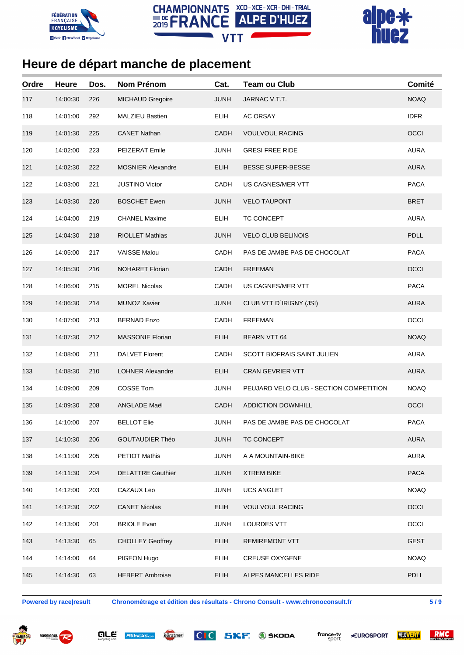





| Ordre | <b>Heure</b> | Dos. | <b>Nom Prénom</b>        | Cat.        | <b>Team ou Club</b>                     | Comité      |
|-------|--------------|------|--------------------------|-------------|-----------------------------------------|-------------|
| 117   | 14:00:30     | 226  | <b>MICHAUD Gregoire</b>  | <b>JUNH</b> | JARNAC V.T.T.                           | <b>NOAQ</b> |
| 118   | 14:01:00     | 292  | <b>MALZIEU Bastien</b>   | <b>ELIH</b> | AC ORSAY                                | <b>IDFR</b> |
| 119   | 14:01:30     | 225  | <b>CANET Nathan</b>      | CADH        | <b>VOULVOUL RACING</b>                  | OCCI        |
| 120   | 14:02:00     | 223  | PEIZERAT Emile           | <b>JUNH</b> | <b>GRESI FREE RIDE</b>                  | <b>AURA</b> |
| 121   | 14:02:30     | 222  | <b>MOSNIER Alexandre</b> | <b>ELIH</b> | <b>BESSE SUPER-BESSE</b>                | <b>AURA</b> |
| 122   | 14:03:00     | 221  | <b>JUSTINO Victor</b>    | CADH        | US CAGNES/MER VTT                       | <b>PACA</b> |
| 123   | 14:03:30     | 220  | <b>BOSCHET Ewen</b>      | <b>JUNH</b> | <b>VELO TAUPONT</b>                     | <b>BRET</b> |
| 124   | 14:04:00     | 219  | <b>CHANEL Maxime</b>     | <b>ELIH</b> | TC CONCEPT                              | <b>AURA</b> |
| 125   | 14:04:30     | 218  | <b>RIOLLET Mathias</b>   | <b>JUNH</b> | <b>VELO CLUB BELINOIS</b>               | <b>PDLL</b> |
| 126   | 14:05:00     | 217  | <b>VAISSE Malou</b>      | CADH        | PAS DE JAMBE PAS DE CHOCOLAT            | <b>PACA</b> |
| 127   | 14:05:30     | 216  | <b>NOHARET Florian</b>   | CADH        | <b>FREEMAN</b>                          | OCCI        |
| 128   | 14:06:00     | 215  | <b>MOREL Nicolas</b>     | CADH        | US CAGNES/MER VTT                       | <b>PACA</b> |
| 129   | 14:06:30     | 214  | <b>MUNOZ Xavier</b>      | <b>JUNH</b> | CLUB VTT D'IRIGNY (JSI)                 | <b>AURA</b> |
| 130   | 14:07:00     | 213  | <b>BERNAD Enzo</b>       | CADH        | <b>FREEMAN</b>                          | OCCI        |
| 131   | 14:07:30     | 212  | <b>MASSONIE Florian</b>  | <b>ELIH</b> | BEARN VTT 64                            | <b>NOAQ</b> |
| 132   | 14:08:00     | 211  | <b>DALVET Florent</b>    | CADH        | SCOTT BIOFRAIS SAINT JULIEN             | <b>AURA</b> |
| 133   | 14:08:30     | 210  | <b>LOHNER Alexandre</b>  | <b>ELIH</b> | <b>CRAN GEVRIER VTT</b>                 | <b>AURA</b> |
| 134   | 14:09:00     | 209  | COSSE Tom                | <b>JUNH</b> | PEUJARD VELO CLUB - SECTION COMPETITION | <b>NOAQ</b> |
| 135   | 14:09:30     | 208  | ANGLADE Maël             | CADH        | <b>ADDICTION DOWNHILL</b>               | OCCI        |
| 136   | 14:10:00     | 207  | <b>BELLOT Elie</b>       | JUNH        | PAS DE JAMBE PAS DE CHOCOLAT            | <b>PACA</b> |
| 137   | 14:10:30     | 206  | <b>GOUTAUDIER Théo</b>   | <b>JUNH</b> | TC CONCEPT                              | <b>AURA</b> |
| 138   | 14:11:00     | 205  | PETIOT Mathis            | <b>JUNH</b> | A A MOUNTAIN-BIKE                       | <b>AURA</b> |
| 139   | 14:11:30     | 204  | <b>DELATTRE Gauthier</b> | <b>JUNH</b> | <b>XTREM BIKE</b>                       | <b>PACA</b> |
| 140   | 14:12:00     | 203  | CAZAUX Leo               | <b>JUNH</b> | <b>UCS ANGLET</b>                       | <b>NOAQ</b> |
| 141   | 14:12:30     | 202  | <b>CANET Nicolas</b>     | <b>ELIH</b> | <b>VOULVOUL RACING</b>                  | OCCI        |
| 142   | 14:13:00     | 201  | <b>BRIOLE Evan</b>       | <b>JUNH</b> | LOURDES VTT                             | OCCI        |
| 143   | 14:13:30     | 65   | <b>CHOLLEY Geoffrey</b>  | <b>ELIH</b> | <b>REMIREMONT VTT</b>                   | <b>GEST</b> |
| 144   | 14:14:00     | 64   | PIGEON Hugo              | <b>ELIH</b> | <b>CREUSE OXYGENE</b>                   | <b>NOAQ</b> |
| 145   | 14:14:30     | 63   | <b>HEBERT Ambroise</b>   | <b>ELIH</b> | ALPES MANCELLES RIDE                    | PDLL        |
|       |              |      |                          |             |                                         |             |

**Powered by race|result Chronométrage et édition des résultats - Chrono Consult - www.chronoconsult.fr 5 / 9**







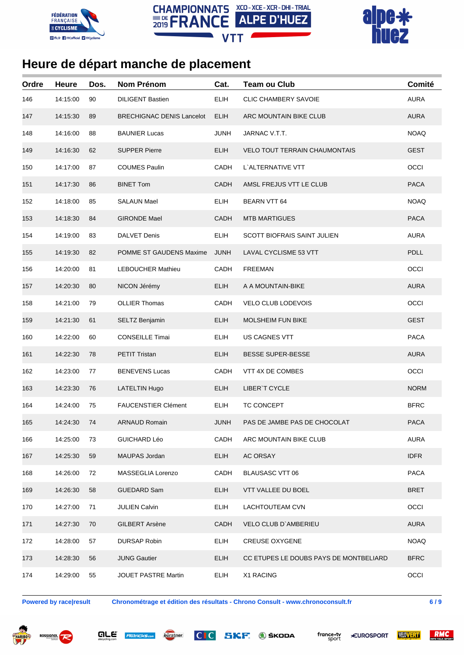





| Ordre | <b>Heure</b> | Dos. | <b>Nom Prénom</b>                | Cat.        | <b>Team ou Club</b>                    | Comité      |
|-------|--------------|------|----------------------------------|-------------|----------------------------------------|-------------|
| 146   | 14:15:00     | 90   | <b>DILIGENT Bastien</b>          | <b>ELIH</b> | <b>CLIC CHAMBERY SAVOIE</b>            | <b>AURA</b> |
| 147   | 14:15:30     | 89   | <b>BRECHIGNAC DENIS Lancelot</b> | <b>ELIH</b> | ARC MOUNTAIN BIKE CLUB                 | <b>AURA</b> |
| 148   | 14:16:00     | 88   | <b>BAUNIER Lucas</b>             | <b>JUNH</b> | JARNAC V.T.T.                          | <b>NOAQ</b> |
| 149   | 14:16:30     | 62   | <b>SUPPER Pierre</b>             | <b>ELIH</b> | <b>VELO TOUT TERRAIN CHAUMONTAIS</b>   | <b>GEST</b> |
| 150   | 14:17:00     | 87   | <b>COUMES Paulin</b>             | CADH        | L'ALTERNATIVE VTT                      | OCCI        |
| 151   | 14:17:30     | 86   | <b>BINET Tom</b>                 | <b>CADH</b> | AMSL FREJUS VTT LE CLUB                | <b>PACA</b> |
| 152   | 14:18:00     | 85   | <b>SALAUN Mael</b>               | <b>ELIH</b> | <b>BEARN VTT 64</b>                    | <b>NOAQ</b> |
| 153   | 14:18:30     | 84   | <b>GIRONDE Mael</b>              | <b>CADH</b> | <b>MTB MARTIGUES</b>                   | <b>PACA</b> |
| 154   | 14:19:00     | 83   | <b>DALVET Denis</b>              | <b>ELIH</b> | <b>SCOTT BIOFRAIS SAINT JULIEN</b>     | <b>AURA</b> |
| 155   | 14:19:30     | 82   | POMME ST GAUDENS Maxime          | <b>JUNH</b> | <b>LAVAL CYCLISME 53 VTT</b>           | <b>PDLL</b> |
| 156   | 14:20:00     | 81   | <b>LEBOUCHER Mathieu</b>         | CADH        | <b>FREEMAN</b>                         | OCCI        |
| 157   | 14:20:30     | 80   | NICON Jérémy                     | <b>ELIH</b> | A A MOUNTAIN-BIKE                      | <b>AURA</b> |
| 158   | 14:21:00     | 79   | <b>OLLIER Thomas</b>             | CADH        | <b>VELO CLUB LODEVOIS</b>              | OCCI        |
| 159   | 14:21:30     | 61   | SELTZ Benjamin                   | <b>ELIH</b> | <b>MOLSHEIM FUN BIKE</b>               | <b>GEST</b> |
| 160   | 14:22:00     | 60   | <b>CONSEILLE Timai</b>           | <b>ELIH</b> | US CAGNES VTT                          | <b>PACA</b> |
| 161   | 14:22:30     | 78   | PETIT Tristan                    | <b>ELIH</b> | BESSE SUPER-BESSE                      | <b>AURA</b> |
| 162   | 14:23:00     | 77   | <b>BENEVENS Lucas</b>            | CADH        | VTT 4X DE COMBES                       | OCCI        |
| 163   | 14:23:30     | 76   | <b>LATELTIN Hugo</b>             | <b>ELIH</b> | LIBER'T CYCLE                          | <b>NORM</b> |
| 164   | 14:24:00     | 75   | <b>FAUCENSTIER Clément</b>       | ELIH        | TC CONCEPT                             | <b>BFRC</b> |
| 165   | 14:24:30     | 74   | <b>ARNAUD Romain</b>             | <b>JUNH</b> | PAS DE JAMBE PAS DE CHOCOLAT           | <b>PACA</b> |
| 166   | 14:25:00     | 73   | <b>GUICHARD Léo</b>              | CADH        | ARC MOUNTAIN BIKE CLUB                 | <b>AURA</b> |
| 167   | 14:25:30     | 59   | MAUPAS Jordan                    | <b>ELIH</b> | <b>AC ORSAY</b>                        | <b>IDFR</b> |
| 168   | 14:26:00     | 72   | MASSEGLIA Lorenzo                | CADH        | <b>BLAUSASC VTT 06</b>                 | <b>PACA</b> |
| 169   | 14:26:30     | 58   | <b>GUEDARD Sam</b>               | <b>ELIH</b> | VTT VALLEE DU BOEL                     | <b>BRET</b> |
| 170   | 14:27:00     | 71   | <b>JULIEN Calvin</b>             | <b>ELIH</b> | <b>LACHTOUTEAM CVN</b>                 | OCCI        |
| 171   | 14:27:30     | 70   | <b>GILBERT Arsène</b>            | <b>CADH</b> | VELO CLUB D'AMBERIEU                   | <b>AURA</b> |
| 172   | 14:28:00     | 57   | DURSAP Robin                     | <b>ELIH</b> | <b>CREUSE OXYGENE</b>                  | <b>NOAQ</b> |
| 173   | 14:28:30     | 56   | <b>JUNG Gautier</b>              | <b>ELIH</b> | CC ETUPES LE DOUBS PAYS DE MONTBELIARD | <b>BFRC</b> |
| 174   | 14:29:00     | 55   | <b>JOUET PASTRE Martin</b>       | <b>ELIH</b> | X1 RACING                              | OCCI        |

**Powered by race|result Chronométrage et édition des résultats - Chrono Consult - www.chronoconsult.fr 6 / 9**









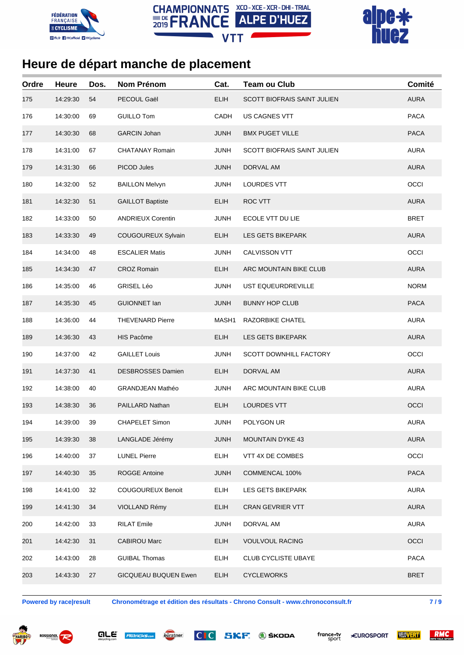





| Ordre | <b>Heure</b> | Dos. | <b>Nom Prénom</b>           | Cat.        | <b>Team ou Club</b>                | Comité      |
|-------|--------------|------|-----------------------------|-------------|------------------------------------|-------------|
| 175   | 14:29:30     | 54   | PECOUL Gaël                 | <b>ELIH</b> | SCOTT BIOFRAIS SAINT JULIEN        | <b>AURA</b> |
| 176   | 14:30:00     | 69   | <b>GUILLO Tom</b>           | CADH        | US CAGNES VTT                      | <b>PACA</b> |
| 177   | 14:30:30     | 68   | <b>GARCIN Johan</b>         | <b>JUNH</b> | <b>BMX PUGET VILLE</b>             | <b>PACA</b> |
| 178   | 14:31:00     | 67   | <b>CHATANAY Romain</b>      | <b>JUNH</b> | <b>SCOTT BIOFRAIS SAINT JULIEN</b> | <b>AURA</b> |
| 179   | 14:31:30     | 66   | PICOD Jules                 | <b>JUNH</b> | DORVAL AM                          | <b>AURA</b> |
| 180   | 14:32:00     | 52   | <b>BAILLON Melvyn</b>       | <b>JUNH</b> | LOURDES VTT                        | OCCI        |
| 181   | 14:32:30     | 51   | <b>GAILLOT Baptiste</b>     | <b>ELIH</b> | ROC VTT                            | <b>AURA</b> |
| 182   | 14:33:00     | 50   | <b>ANDRIEUX Corentin</b>    | <b>JUNH</b> | ECOLE VTT DU LIE                   | <b>BRET</b> |
| 183   | 14:33:30     | 49   | COUGOUREUX Sylvain          | <b>ELIH</b> | LES GETS BIKEPARK                  | <b>AURA</b> |
| 184   | 14:34:00     | 48   | <b>ESCALIER Matis</b>       | <b>JUNH</b> | CALVISSON VTT                      | OCCI        |
| 185   | 14:34:30     | 47   | <b>CROZ Romain</b>          | <b>ELIH</b> | ARC MOUNTAIN BIKE CLUB             | <b>AURA</b> |
| 186   | 14:35:00     | 46   | <b>GRISEL Léo</b>           | <b>JUNH</b> | UST EQUEURDREVILLE                 | <b>NORM</b> |
| 187   | 14:35:30     | 45   | <b>GUIONNET lan</b>         | <b>JUNH</b> | <b>BUNNY HOP CLUB</b>              | <b>PACA</b> |
| 188   | 14:36:00     | 44   | <b>THEVENARD Pierre</b>     | MASH1       | RAZORBIKE CHATEL                   | <b>AURA</b> |
| 189   | 14:36:30     | 43   | HIS Pacôme                  | <b>ELIH</b> | LES GETS BIKEPARK                  | <b>AURA</b> |
| 190   | 14:37:00     | 42   | <b>GAILLET Louis</b>        | <b>JUNH</b> | <b>SCOTT DOWNHILL FACTORY</b>      | OCCI        |
| 191   | 14:37:30     | 41   | DESBROSSES Damien           | <b>ELIH</b> | DORVAL AM                          | <b>AURA</b> |
| 192   | 14:38:00     | 40   | <b>GRANDJEAN Mathéo</b>     | JUNH        | ARC MOUNTAIN BIKE CLUB             | <b>AURA</b> |
| 193   | 14:38:30     | 36   | PAILLARD Nathan             | <b>ELIH</b> | <b>LOURDES VTT</b>                 | OCCI        |
| 194   | 14:39:00     | 39   | <b>CHAPELET Simon</b>       | <b>JUNH</b> | POLYGON UR                         | <b>AURA</b> |
| 195   | 14:39:30     | 38   | LANGLADE Jérémy             | <b>JUNH</b> | <b>MOUNTAIN DYKE 43</b>            | <b>AURA</b> |
| 196   | 14:40:00     | 37   | <b>LUNEL Pierre</b>         | <b>ELIH</b> | VTT 4X DE COMBES                   | OCCI        |
| 197   | 14:40:30     | 35   | <b>ROGGE Antoine</b>        | <b>JUNH</b> | COMMENCAL 100%                     | <b>PACA</b> |
| 198   | 14:41:00     | 32   | COUGOUREUX Benoit           | <b>ELIH</b> | LES GETS BIKEPARK                  | <b>AURA</b> |
| 199   | 14:41:30     | 34   | VIOLLAND Rémy               | <b>ELIH</b> | <b>CRAN GEVRIER VTT</b>            | <b>AURA</b> |
| 200   | 14:42:00     | 33   | <b>RILAT Emile</b>          | <b>JUNH</b> | DORVAL AM                          | <b>AURA</b> |
| 201   | 14:42:30     | 31   | <b>CABIROU Marc</b>         | <b>ELIH</b> | <b>VOULVOUL RACING</b>             | OCCI        |
| 202   | 14:43:00     | 28   | <b>GUIBAL Thomas</b>        | <b>ELIH</b> | <b>CLUB CYCLISTE UBAYE</b>         | <b>PACA</b> |
| 203   | 14:43:30     | 27   | <b>GICQUEAU BUQUEN Ewen</b> | <b>ELIH</b> | <b>CYCLEWORKS</b>                  | <b>BRET</b> |
|       |              |      |                             |             |                                    |             |

**Powered by race|result Chronométrage et édition des résultats - Chrono Consult - www.chronoconsult.fr 7 / 9**







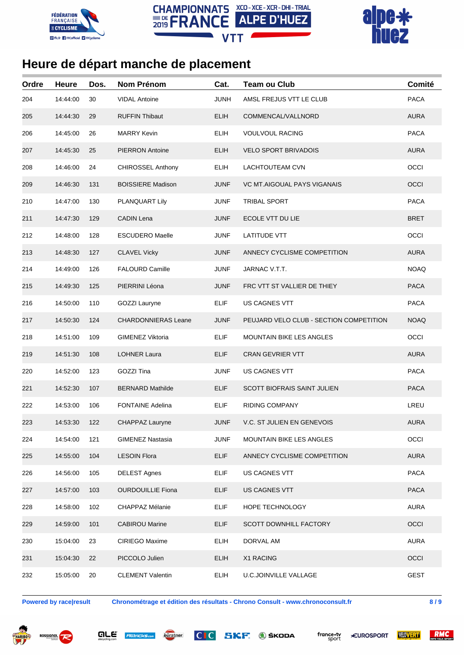





| Ordre | <b>Heure</b> | Dos. | <b>Nom Prénom</b>          | Cat.        | <b>Team ou Club</b>                     | Comité      |
|-------|--------------|------|----------------------------|-------------|-----------------------------------------|-------------|
| 204   | 14:44:00     | 30   | <b>VIDAL Antoine</b>       | <b>JUNH</b> | AMSL FREJUS VTT LE CLUB                 | <b>PACA</b> |
| 205   | 14:44:30     | 29   | <b>RUFFIN Thibaut</b>      | <b>ELIH</b> | COMMENCAL/VALLNORD                      | <b>AURA</b> |
| 206   | 14:45:00     | 26   | <b>MARRY Kevin</b>         | <b>ELIH</b> | <b>VOULVOUL RACING</b>                  | <b>PACA</b> |
| 207   | 14:45:30     | 25   | <b>PIERRON Antoine</b>     | <b>ELIH</b> | <b>VELO SPORT BRIVADOIS</b>             | <b>AURA</b> |
| 208   | 14:46:00     | 24   | <b>CHIROSSEL Anthony</b>   | <b>ELIH</b> | LACHTOUTEAM CVN                         | OCCI        |
| 209   | 14:46:30     | 131  | <b>BOISSIERE Madison</b>   | <b>JUNF</b> | VC MT.AIGOUAL PAYS VIGANAIS             | OCCI        |
| 210   | 14:47:00     | 130  | PLANQUART Lily             | <b>JUNF</b> | <b>TRIBAL SPORT</b>                     | <b>PACA</b> |
| 211   | 14:47:30     | 129  | <b>CADIN Lena</b>          | <b>JUNF</b> | ECOLE VTT DU LIE                        | <b>BRET</b> |
| 212   | 14:48:00     | 128  | <b>ESCUDERO Maelle</b>     | <b>JUNF</b> | <b>LATITUDE VTT</b>                     | OCCI        |
| 213   | 14:48:30     | 127  | <b>CLAVEL Vicky</b>        | <b>JUNF</b> | ANNECY CYCLISME COMPETITION             | <b>AURA</b> |
| 214   | 14:49:00     | 126  | <b>FALOURD Camille</b>     | <b>JUNF</b> | JARNAC V.T.T.                           | <b>NOAQ</b> |
| 215   | 14:49:30     | 125  | PIERRINI Léona             | <b>JUNF</b> | FRC VTT ST VALLIER DE THIEY             | <b>PACA</b> |
| 216   | 14:50:00     | 110  | <b>GOZZI Lauryne</b>       | <b>ELIF</b> | US CAGNES VTT                           | <b>PACA</b> |
| 217   | 14:50:30     | 124  | <b>CHARDONNIERAS Leane</b> | <b>JUNF</b> | PEUJARD VELO CLUB - SECTION COMPETITION | <b>NOAQ</b> |
| 218   | 14:51:00     | 109  | <b>GIMENEZ Viktoria</b>    | <b>ELIF</b> | <b>MOUNTAIN BIKE LES ANGLES</b>         | OCCI        |
| 219   | 14:51:30     | 108  | <b>LOHNER Laura</b>        | <b>ELIF</b> | <b>CRAN GEVRIER VTT</b>                 | <b>AURA</b> |
| 220   | 14:52:00     | 123  | GOZZI Tina                 | <b>JUNF</b> | US CAGNES VTT                           | <b>PACA</b> |
| 221   | 14:52:30     | 107  | <b>BERNARD Mathilde</b>    | <b>ELIF</b> | SCOTT BIOFRAIS SAINT JULIEN             | <b>PACA</b> |
| 222   | 14:53:00     | 106  | <b>FONTAINE Adelina</b>    | ELIF        | RIDING COMPANY                          | LREU        |
| 223   | 14:53:30     | 122  | <b>CHAPPAZ Lauryne</b>     | <b>JUNF</b> | <b>V.C. ST JULIEN EN GENEVOIS</b>       | <b>AURA</b> |
| 224   | 14:54:00     | 121  | <b>GIMENEZ Nastasia</b>    | <b>JUNF</b> | <b>MOUNTAIN BIKE LES ANGLES</b>         | OCCI        |
| 225   | 14:55:00     | 104  | <b>LESOIN Flora</b>        | <b>ELIF</b> | ANNECY CYCLISME COMPETITION             | <b>AURA</b> |
| 226   | 14:56:00     | 105  | <b>DELEST Agnes</b>        | <b>ELIF</b> | US CAGNES VTT                           | <b>PACA</b> |
| 227   | 14:57:00     | 103  | <b>OURDOUILLIE Fiona</b>   | <b>ELIF</b> | US CAGNES VTT                           | <b>PACA</b> |
| 228   | 14:58:00     | 102  | CHAPPAZ Mélanie            | <b>ELIF</b> | HOPE TECHNOLOGY                         | <b>AURA</b> |
| 229   | 14:59:00     | 101  | <b>CABIROU Marine</b>      | <b>ELIF</b> | SCOTT DOWNHILL FACTORY                  | OCCI        |
| 230   | 15:04:00     | 23   | CIRIEGO Maxime             | <b>ELIH</b> | DORVAL AM                               | <b>AURA</b> |
| 231   | 15:04:30     | 22   | PICCOLO Julien             | <b>ELIH</b> | X1 RACING                               | OCCI        |
| 232   | 15:05:00     | 20   | <b>CLEMENT Valentin</b>    | <b>ELIH</b> | <b>U.C.JOINVILLE VALLAGE</b>            | <b>GEST</b> |

**Powered by race|result Chronométrage et édition des résultats - Chrono Consult - www.chronoconsult.fr 8 / 9**